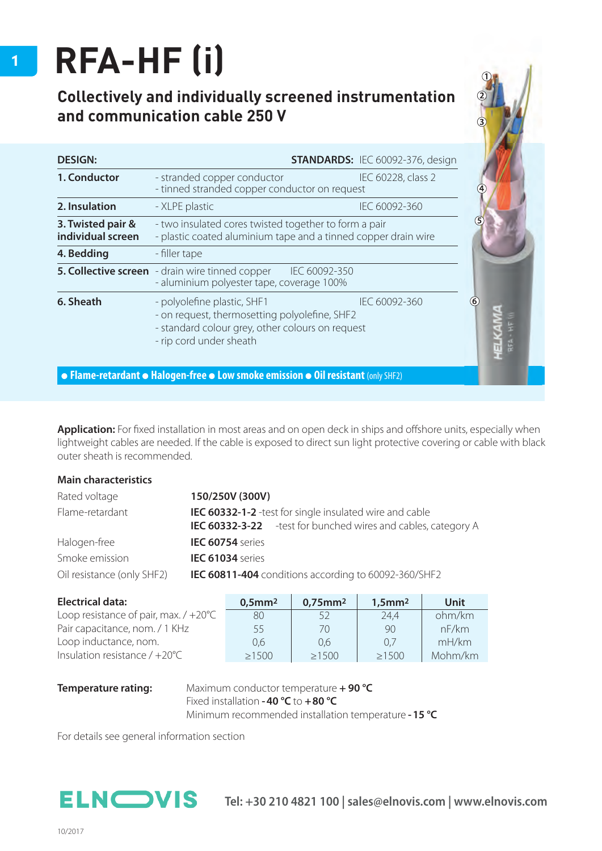## **RFA-HF (i)**

## **Collectively and individually screened instrumentation and communication cable 250 V**

| <b>DESIGN:</b>                         | <b>STANDARDS: IEC 60092-376, design</b>                                                                                                                                      |                    |  |
|----------------------------------------|------------------------------------------------------------------------------------------------------------------------------------------------------------------------------|--------------------|--|
| 1. Conductor                           | - stranded copper conductor<br>- tinned stranded copper conductor on request                                                                                                 | IEC 60228, class 2 |  |
| 2. Insulation                          | - XLPE plastic                                                                                                                                                               | IEC 60092-360      |  |
| 3. Twisted pair &<br>individual screen | - two insulated cores twisted together to form a pair<br>- plastic coated aluminium tape and a tinned copper drain wire                                                      |                    |  |
| 4. Bedding                             | - filler tape                                                                                                                                                                |                    |  |
|                                        | <b>5. Collective screen</b> - drain wire tinned copper IEC 60092-350<br>- aluminium polyester tape, coverage 100%                                                            |                    |  |
| 6. Sheath                              | - polyolefine plastic, SHF1<br>IEC 60092-360<br>- on request, thermosetting polyolefine, SHF2<br>- standard colour grey, other colours on request<br>- rip cord under sheath |                    |  |

**Application:** For fixed installation in most areas and on open deck in ships and offshore units, especially when lightweight cables are needed. If the cable is exposed to direct sun light protective covering or cable with black outer sheath is recommended.

## **Main characteristics**

| Rated voltage              | 150/250V (300V)                                                                                                                         |  |  |  |
|----------------------------|-----------------------------------------------------------------------------------------------------------------------------------------|--|--|--|
| Flame-retardant            | <b>IEC 60332-1-2</b> -test for single insulated wire and cable<br><b>IEC 60332-3-22</b> - test for bunched wires and cables, category A |  |  |  |
| Halogen-free               | <b>IEC 60754</b> series                                                                                                                 |  |  |  |
| Smoke emission             | IEC 61034 series                                                                                                                        |  |  |  |
| Oil resistance (only SHF2) | IEC 60811-404 conditions according to 60092-360/SHF2                                                                                    |  |  |  |

| <b>Electrical data:</b>                        | $0,5$ mm <sup>2</sup> | $0,75$ mm <sup>2</sup> | $1,5$ mm $2$ | Unit    |
|------------------------------------------------|-----------------------|------------------------|--------------|---------|
| Loop resistance of pair, max. $/ +20^{\circ}C$ | 80.                   | 52                     | 24.4         | ohm/km  |
| Pair capacitance, nom. / 1 KHz                 | 55                    | 70                     | 90           | nF/km   |
| Loop inductance, nom.                          | 0.6                   | 0.6                    | 0.7          | mH/km   |
| Insulation resistance $/ +20^{\circ}$ C        | >1500                 | >1500                  | $\geq 1500$  | Mohm/km |

**Temperature rating:** Maximum conductor temperature **+ 90 °C**  Fixed installation **- 40 °C** to **+80 °C** Minimum recommended installation temperature **- 15 °C**

For details see general information section